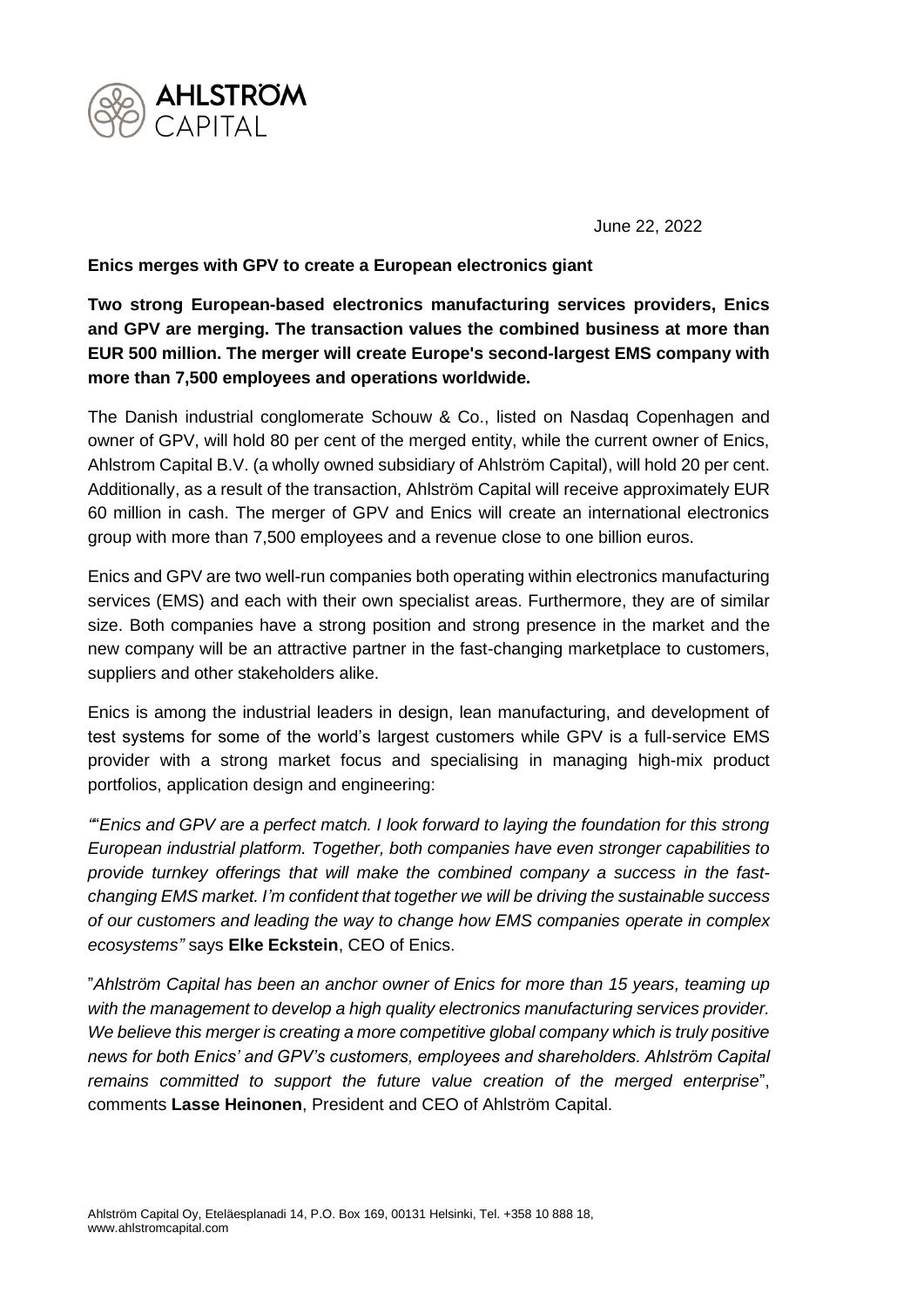

June 22, 2022

**Enics merges with GPV to create a European electronics giant**

**Two strong European-based electronics manufacturing services providers, Enics and GPV are merging. The transaction values the combined business at more than EUR 500 million. The merger will create Europe's second-largest EMS company with more than 7,500 employees and operations worldwide.** 

The Danish industrial conglomerate Schouw & Co., listed on Nasdaq Copenhagen and owner of GPV, will hold 80 per cent of the merged entity, while the current owner of Enics, Ahlstrom Capital B.V. (a wholly owned subsidiary of Ahlström Capital), will hold 20 per cent. Additionally, as a result of the transaction, Ahlström Capital will receive approximately EUR 60 million in cash. The merger of GPV and Enics will create an international electronics group with more than 7,500 employees and a revenue close to one billion euros.

Enics and GPV are two well-run companies both operating within electronics manufacturing services (EMS) and each with their own specialist areas. Furthermore, they are of similar size. Both companies have a strong position and strong presence in the market and the new company will be an attractive partner in the fast-changing marketplace to customers, suppliers and other stakeholders alike.

Enics is among the industrial leaders in design, lean manufacturing, and development of test systems for some of the world's largest customers while GPV is a full-service EMS provider with a strong market focus and specialising in managing high-mix product portfolios, application design and engineering:

*"*"*Enics and GPV are a perfect match. I look forward to laying the foundation for this strong European industrial platform. Together, both companies have even stronger capabilities to provide turnkey offerings that will make the combined company a success in the fastchanging EMS market. I'm confident that together we will be driving the sustainable success of our customers and leading the way to change how EMS companies operate in complex ecosystems"* says **Elke Eckstein**, CEO of Enics.

"*Ahlström Capital has been an anchor owner of Enics for more than 15 years, teaming up with the management to develop a high quality electronics manufacturing services provider. We believe this merger is creating a more competitive global company which is truly positive news for both Enics' and GPV's customers, employees and shareholders. Ahlström Capital remains committed to support the future value creation of the merged enterprise*", comments **Lasse Heinonen**, President and CEO of Ahlström Capital.